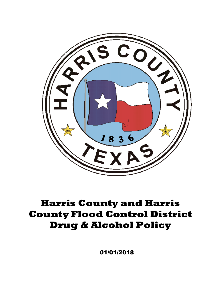

# **Harris County and Harris County Flood Control District Drug & Alcohol Policy**

01/01/2018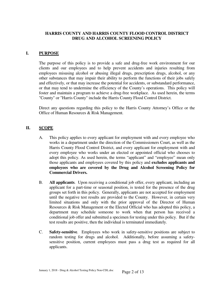# **HARRIS COUNTY AND HARRIS COUNTY FLOOD CONTROL DISTRICT DRUG AND ALCOHOL SCREENING POLICY**

## **I. PURPOSE**

 The purpose of this policy is to provide a safe and drug-free work environment for our clients and our employees and to help prevent accidents and injuries resulting from employees misusing alcohol or abusing illegal drugs, prescription drugs, alcohol, or any other substances that may impair their ability to perform the functions of their jobs safely and effectively, or that may increase the potential for accidents, or substandard performance, or that may tend to undermine the efficiency of the County's operations. This policy will foster and maintain a program to achieve a drug-free workplace. As used herein, the terms "County" or "Harris County" include the Harris County Flood Control District.

 Direct any questions regarding this policy to the Harris County Attorney's Office or the Office of Human Resources & Risk Management.

## **II. SCOPE**

- A. This policy applies to every applicant for employment with and every employee who works in a department under the direction of the Commissioners Court, as well as the Harris County Flood Control District, and every applicant for employment with and every employee who works under an elected or appointed official who chooses to adopt this policy. As used herein, the terms "applicant" and "employee" mean only those applicants and employees covered by this policy and **excludes applicants and employees who are covered by the Drug and Alcohol Screening Policy for Commercial Drivers.**
- B. **All applicants**. Upon receiving a conditional job offer, every applicant, including an applicant for a part-time or seasonal position, is tested for the presence of the drug groups set forth in this policy. Generally, applicants are not accepted for employment until the negative test results are provided to the County. However, in certain very limited situations and only with the prior approval of the Director of Human Resources & Risk Management or the Elected Official who has adopted this policy, a department may schedule someone to work when that person has received a conditional job offer and submitted a specimen for testing under this policy. But if the test results are positive, then the individual is terminated immediately.
- C. **Safety-sensitive**. Employees who work in safety-sensitive positions are subject to random testing for drugs and alcohol. Additionally, before assuming a safetysensitive position, current employees must pass a drug test as required for all applicants.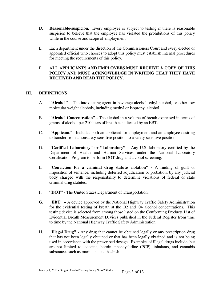- D. **Reasonable-suspicion.** Every employee is subject to testing if there is reasonable suspicion to believe that the employee has violated the prohibitions of this policy while in the course and scope of employment.
- E. Each department under the direction of the Commissioners Court and every elected or appointed official who chooses to adopt this policy must establish internal procedures for meeting the requirements of this policy.

# F. **ALL APPLICANTS AND EMPLOYEES MUST RECEIVE A COPY OF THIS POLICY AND MUST ACKNOWLEDGE IN WRITING THAT THEY HAVE RECEIVED AND READ THE POLICY.**

# **III. DEFINITIONS**

- A. **"Alcohol" –** The intoxicating agent in beverage alcohol, ethyl alcohol, or other low molecular weight alcohols, including methyl or isopropyl alcohol.
- B. **"Alcohol Concentration" -** The alcohol in a volume of breath expressed in terms of grams of alcohol per 210 liters of breath as indicated by an EBT.
- C. **"Applicant" -** Includes both an applicant for employment and an employee desiring to transfer from a nonsafety-sensitive position to a safety-sensitive position.
- D. **"Certified Laboratory" or "Laboratory" –** Any U.S. laboratory certified by the Department of Health and Human Services under the National Laboratory Certification Program to perform DOT drug and alcohol screening.
- E. **"Conviction for a criminal drug statute violation" -** A finding of guilt or imposition of sentence, including deferred adjudication or probation, by any judicial body charged with the responsibility to determine violations of federal or state criminal drug statutes.
- F. **"DOT"**  The United States Department of Transportation.
- G. **"EBT"** A device approved by the National Highway Traffic Safety Administration for the evidential testing of breath at the .02 and .04 alcohol concentrations. This testing device is selected from among those listed on the Conforming Products List of Evidential Breath Measurement Devices published in the Federal Register from time to time by the National Highway Traffic Safety Administration.
- H. **"Illegal Drug" -** Any drug that cannot be obtained legally or any prescription drug that has not been legally obtained or that has been legally obtained and is not being used in accordance with the prescribed dosage. Examples of illegal drugs include, but are not limited to, cocaine, heroin, phencyclidine (PCP), inhalants, and cannabis substances such as marijuana and hashish.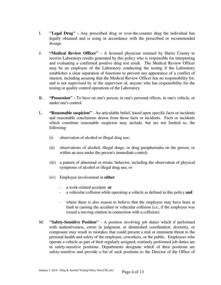- I. **"Legal Drug" -** Any prescribed drug or over-the-counter drug the individual has legally obtained and is using in accordance with the prescribed or recommended dosage.
- J. **"Medical Review Officer" -** A licensed physician retained by Harris County to receive Laboratory results generated by this policy who is responsible for interpreting and evaluating a confirmed positive drug test result. The Medical Review Officer may be an employee of the Laboratory conducting the testing if the Laboratory establishes a clear separation of functions to prevent any appearance of a conflict of interest, including assuring that the Medical Review Officer has no responsibility for, and is not supervised by or the supervisor of, anyone who has responsibility for the testing or quality control operations of the Laboratory.
- K. **"Possession" -** To have on one's person, in one's personal effects, in one's vehicle, or under one's control.
- L. **"Reasonable suspicion"** An articulable belief, based upon specific facts or incidents and reasonable conclusions drawn from those facts or incidents. Facts or incidents which constitute reasonable suspicion may include, but are not limited to, the following:
	- (i) observation of alcohol or illegal drug use;
	- (ii) observations of alcohol, illegal drugs, or drug paraphernalia on the person, or within an area under the person's immediate control;
	- (iii) a pattern of abnormal or erratic behavior, including the observation of physical symptoms of alcohol or illegal drug use; or
	- (iv) Employee involvement in **either**
		- a work-related accident **or**
		- a vehicular collision while operating a vehicle as defined in this policy **and**
		- where there is also reason to believe that the employee may have been at fault in causing the accident or vehicular collision (i.e., if the employee was issued a moving citation in connection with a collision).
- M. **"Safety-Sensitive Position"** A position involving job duties which if performed with inattentiveness, errors in judgment, or diminished coordination, dexterity, or composure may result in mistakes that could present a real or imminent threat to the personal health and safety of the employee, coworkers, or the public. Employees who operate a vehicle as part of their regularly assigned, routinely performed job duties are in safety-sensitive positions. Departments designate which of their positions are safety-sensitive and provide a list of such positions to the Director of the Office of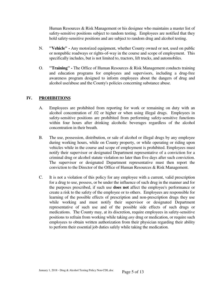Human Resources & Risk Management or his designee who maintains a master list of safety-sensitive positions subject to random testing. Employees are notified that they hold safety-sensitive positions and are subject to random drug and alcohol testing.

- N. **"Vehicle" -** Any motorized equipment, whether County owned or not, used on public or nonpublic roadways or rights-of-way in the course and scope of employment. This specifically includes, but is not limited to, tractors, lift trucks, and automobiles.
- O. **"Training"** The Office of Human Resources & Risk Management conducts training and education programs for employees and supervisors, including a drug-free awareness program designed to inform employees about the dangers of drug and alcohol use/abuse and the County's policies concerning substance abuse.

# **IV. PROHIBITIONS**

- A. Employees are prohibited from reporting for work or remaining on duty with an alcohol concentration of .02 or higher or when using illegal drugs. Employees in safety-sensitive positions are prohibited from performing safety-sensitive functions within four hours after drinking alcoholic beverages regardless of the alcohol concentration in their breath.
- B. The use, possession, distribution, or sale of alcohol or illegal drugs by any employee during working hours, while on County property, or while operating or riding upon vehicles while in the course and scope of employment is prohibited. Employees must notify their supervisor or designated Department representative of a conviction for a criminal drug or alcohol statute violation no later than five days after such conviction. The supervisor or designated Department representative must then report the conviction to the Director of the Office of Human Resources & Risk Management.
- C. It is not a violation of this policy for any employee with a current, valid prescription for a drug to use, possess, or be under the influence of such drug in the manner and for the purposes prescribed, if such use **does not** affect the employee's performance or create a risk to the safety of the employee or to others. Employees are responsible for learning of the possible effects of prescription and non-prescription drugs they use while working and must notify their supervisor or designated Department representative of such use and of the possible side effects of such drugs or medications. The County may, at its discretion, require employees in safety-sensitive positions to refrain from working while taking *any* drug or medication, or require such employees to obtain written authorization from their physician regarding their ability to perform their essential job duties safely while taking the medication.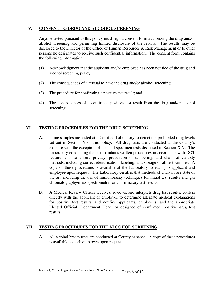#### **V. CONSENT TO DRUG AND ALCOHOL SCREENING**

 Anyone tested pursuant to this policy must sign a consent form authorizing the drug and/or alcohol screening and permitting limited disclosure of the results. The results may be disclosed to the Director of the Office of Human Resources & Risk Management or to other persons he designates to receive such confidential information. The consent form contains the following information:

- (1) Acknowledgment that the applicant and/or employee has been notified of the drug and alcohol screening policy;
- (2) The consequences of a refusal to have the drug and/or alcohol screening;
- (3) The procedure for confirming a positive test result; and
- (4) The consequences of a confirmed positive test result from the drug and/or alcohol screening.

# **VI. TESTING PROCEDURES FOR THE DRUG SCREENING**

- A. Urine samples are tested at a Certified Laboratory to detect the prohibited drug levels set out in Section X of this policy. All drug tests are conducted at the County's expense with the exception of the split specimen tests discussed in Section XIV. The Laboratory conducting the test maintains written procedures in accordance with DOT requirements to ensure privacy, prevention of tampering, and chain of custody methods, including correct identification, labeling, and storage of all test samples. A copy of these procedures is available at the Laboratory to each job applicant and employee upon request. The Laboratory certifies that methods of analysis are state of the art, including the use of immunoassay techniques for initial test results and gas chromatography/mass spectrometry for confirmatory test results.
- B. A Medical Review Officer receives, reviews, and interprets drug test results; confers directly with the applicant or employee to determine alternate medical explanations for positive test results; and notifies applicants, employees, and the appropriate Elected Official, Department Head, or designee of confirmed, positive drug test results.

#### **VII. TESTING PROCEDURES FOR THE ALCOHOL SCREENING**

 A. All alcohol breath tests are conducted at County expense. A copy of these procedures is available to each employee upon request.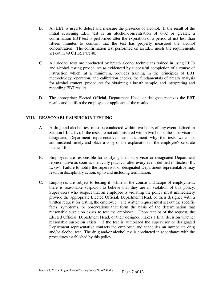- B. An EBT is used to detect and measure the presence of alcohol. If the result of the initial screening EBT test is an alcohol-concentration of 0.02 or greater, a confirmation EBT test is performed after the expiration of a period of not less than fifteen minutes to confirm that the test has properly measured the alcohol concentration. The confirmation test performed on an EBT meets the requirements set out in 49 C.F.R. Part 40.
- C. All alcohol tests are conducted by breath alcohol technicians trained in using EBTs and alcohol testing procedures as evidenced by successful completion of a course of instruction which, at a minimum, provides training in the principles of EBT methodology, operation, and calibration checks, the fundamentals of breath analysis for alcohol content, procedures for obtaining a breath sample, and interpreting and recording EBT results.
- D. The appropriate Elected Official, Department Head, or designee receives the EBT results and notifies the employee or applicant of the results.

## **VIII. REASONABLE SUSPICION TESTING**

- A. A drug and alcohol test must be conducted within two hours of any event defined in Section III. L. (iv). If the tests are not administered within two hours, the supervisor or designated Department representative must document why the tests were not administered timely and place a copy of the explanation in the employee's separate medical file.
- B. Employees are responsible for notifying their supervisor or designated Department representative as soon as medically practical after every event defined in Section III. L. (iv). Failure to notify the supervisor or designated Department representative may result in disciplinary action, up to and including termination.
- C. Employees are subject to testing if, while in the course and scope of employment, there is reasonable suspicion to believe that they are in violation of this policy. Supervisors who suspect that an employee is violating the policy must immediately provide the appropriate Elected Official, Department Head, or their designee with a written request for testing the employee. The written request must set out the specific facts, symptoms, or observations that form the basis of the determination that reasonable suspicion exists to test the employee. Upon receipt of the request, the Elected Official, Department Head, or their designee makes a final decision whether reasonable suspicion exists. If the test is authorized the supervisor or designated Department representative contacts the employee and schedules an immediate drug and/or alcohol test. The drug and/or alcohol test is conducted in accordance with the procedures established by this policy.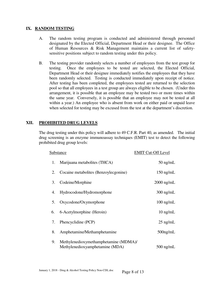#### **IX. RANDOM TESTING**

- A. The random testing program is conducted and administered through personnel designated by the Elected Official, Department Head or their designee. The Office of Human Resources & Risk Management maintains a current list of safetysensitive positions subject to random testing under this policy.
- B. The testing provider randomly selects a number of employees from the test group for testing. Once the employees to be tested are selected, the Elected Official, Department Head or their designee immediately notifies the employees that they have been randomly selected. Testing is conducted immediately upon receipt of notice. After testing has been completed, the employees tested are returned to the selection pool so that all employees in a test group are always eligible to be chosen. (Under this arrangement, it is possible that an employee may be tested two or more times within the same year. Conversely, it is possible that an employee may not be tested at all within a year.) An employee who is absent from work on either paid or unpaid leave when selected for testing may be excused from the test at the department's discretion.

# **XII. PROHIBITED DRUG LEVELS**

 The drug testing under this policy will adhere to 49 C.F.R. Part 40, as amended. The initial drug screening is an enzyme immunoassay techniques (EMIT) test to detect the following prohibited drug group levels:

| <b>Substance</b> |                                                                          | <b>EMIT Cut-Off Level</b> |
|------------------|--------------------------------------------------------------------------|---------------------------|
| 1.               | Marijuana metabolites (THCA)                                             | $50$ ng/mL                |
| 2.               | Cocaine metabolites (Benzoylecgonine)                                    | $150$ ng/mL               |
| 3.               | Codeine/Morphine                                                         | $2000$ ng/mL              |
| 4.               | Hydrocodone/Hydromorphone                                                | $300$ ng/mL               |
| 5.               | Oxycodone/Oxymorphone                                                    | $100$ ng/mL               |
| 6.               | 6-Acetylmorphine (Heroin)                                                | $10$ ng/mL                |
| 7.               | Phencyclidine (PCP)                                                      | $25$ ng/mL                |
| 8.               | Amphetamine/Methamphetamine                                              | $500$ ng/mL               |
| 9.               | Methylenedioxymethamphetamine (MDMA)/<br>Methylenedioxyamphetamine (MDA) | $500$ ng/mL               |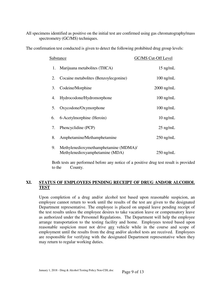All specimens identified as positive on the initial test are confirmed using gas chromatography/mass spectrometry (GC/MS) techniques.

The confirmation test conducted is given to detect the following prohibited drug group levels:

| <b>Substance</b> |                                                                          | GC/MS Cut-Off Level |
|------------------|--------------------------------------------------------------------------|---------------------|
| 1.               | Marijuana metabolites (THCA)                                             | $15$ ng/mL          |
| 2.               | Cocaine metabolites (Benzoylecgonine)                                    | $100$ ng/mL         |
| 3.               | Codeine/Morphine                                                         | $2000$ ng/mL        |
| 4.               | Hydrocodone/Hydromorphone                                                | $100 \text{ ng/mL}$ |
| 5.               | Oxycodone/Oxymorphone                                                    | $100$ ng/mL         |
| 6.               | 6-Acetylmorphine (Heroin)                                                | $10$ ng/mL          |
| 7.               | Phencyclidine (PCP)                                                      | $25$ ng/mL          |
| 8.               | Amphetamine/Methamphetamine                                              | $250$ ng/mL         |
| 9.               | Methylenedioxymethamphetamine (MDMA)/<br>Methylenedioxyamphetamine (MDA) | $250$ ng/mL         |

 Both tests are performed before any notice of a positive drug test result is provided to the County.

# **XI. STATUS OF EMPLOYEES PENDING RECEIPT OF DRUG AND/OR ALCOHOL TEST**

 Upon completion of a drug and/or alcohol test based upon reasonable suspicion, an employee cannot return to work until the results of the test are given to the designated Department representative. The employee is placed on unpaid leave pending receipt of the test results unless the employee desires to take vacation leave or compensatory leave as authorized under the Personnel Regulations. The Department will help the employee arrange transportation to the testing facility and home. Employees tested based upon reasonable suspicion must not drive any vehicle while in the course and scope of employment until the results from the drug and/or alcohol tests are received. Employees are responsible for verifying with the designated Department representative when they may return to regular working duties.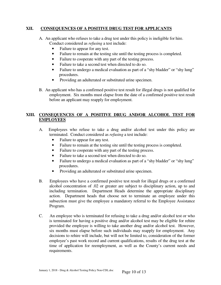## **XII. CONSEQUENCES OF A POSITIVE DRUG TEST FOR APPLICANTS**

- A. An applicant who refuses to take a drug test under this policy is ineligible for hire. Conduct considered as *refusing* a test include:
	- Failure to appear for any test.
	- Failure to remain at the testing site until the testing process is completed.
	- Failure to cooperate with any part of the testing process.
	- Failure to take a second test when directed to do so.
	- Failure to undergo a medical evaluation as part of a "shy bladder" or "shy lung" procedures.
	- Providing an adulterated or substituted urine specimen.
- B. An applicant who has a confirmed positive test result for illegal drugs is not qualified for employment. Six months must elapse from the date of a confirmed positive test result before an applicant may reapply for employment.

# **XIII. CONSEQUENCES OF A POSITIVE DRUG AND/OR ALCOHOL TEST FOR EMPLOYEES**

- A. Employees who refuse to take a drug and/or alcohol test under this policy are terminated. Conduct considered as *refusing* a test include:
	- Failure to appear for any test.
	- Failure to remain at the testing site until the testing process is completed.
	- Failure to cooperate with any part of the testing process.
	- Failure to take a second test when directed to do so.
	- Failure to undergo a medical evaluation as part of a "shy bladder" or "shy lung" procedures.
	- Providing an adulterated or substituted urine specimen.
- B. Employees who have a confirmed positive test result for illegal drugs or a confirmed alcohol concentration of .02 or greater are subject to disciplinary action, up to and including termination. Department Heads determine the appropriate disciplinary action. Department heads that choose not to terminate an employee under this subsection must give the employee a mandatory referral to the Employee Assistance Program.
- C. An employee who is terminated for refusing to take a drug and/or alcohol test or who is terminated for having a positive drug and/or alcohol test may be eligible for rehire provided the employee is willing to take another drug and/or alcohol test. However, six months must elapse before such individuals may reapply for employment. Any decisions to rehire will include, but will not be limited to, consideration of the former employee's past work record and current qualifications, results of the drug test at the time of application for reemployment, as well as the County's current needs and requirements.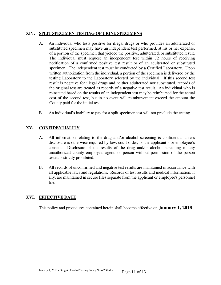# **XIV. SPLIT SPECIMEN TESTING OF URINE SPECIMENS**

- A. An individual who tests positive for illegal drugs or who provides an adulterated or substituted specimen may have an independent test performed, at his or her expense, of a portion of the specimen that yielded the positive, adulterated, or substituted result. The individual must request an independent test within 72 hours of receiving notification of a confirmed positive test result or of an adulterated or substituted specimen. The independent test must be conducted by a Certified Laboratory. Upon written authorization from the individual, a portion of the specimen is delivered by the testing Laboratory to the Laboratory selected by the individual. If this second test result is negative for illegal drugs and neither adulterated nor substituted, records of the original test are treated as records of a negative test result. An individual who is reinstated based on the results of an independent test may be reimbursed for the actual cost of the second test, but in no event will reimbursement exceed the amount the County paid for the initial test.
- B. An individual's inability to pay for a split specimen test will not preclude the testing.

# **XV. CONFIDENTIALITY**

- A. All information relating to the drug and/or alcohol screening is confidential unless disclosure is otherwise required by law, court order, or the applicant's or employee's consent. Disclosure of the results of the drug and/or alcohol screening to any unauthorized county employee, agent, or person without permission of the person tested is strictly prohibited.
- B. All records of unconfirmed and negative test results are maintained in accordance with all applicable laws and regulations. Records of test results and medical information, if any, are maintained in secure files separate from the applicant or employee's personnel file.

# **XVI. EFFECTIVE DATE**

This policy and procedures contained herein shall become effective on **January 1, 2018** .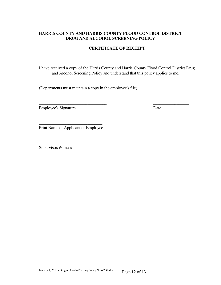## **HARRIS COUNTY AND HARRIS COUNTY FLOOD CONTROL DISTRICT DRUG AND ALCOHOL SCREENING POLICY**

# **CERTIFICATE OF RECEIPT**

I have received a copy of the Harris County and Harris County Flood Control District Drug and Alcohol Screening Policy and understand that this policy applies to me.

\_\_\_\_\_\_\_\_\_\_\_\_\_\_\_\_\_\_\_\_\_\_\_\_\_\_\_\_\_\_\_\_ \_\_\_\_\_\_\_\_\_\_\_\_\_\_\_\_\_

(Departments must maintain a copy in the employee's file)

Employee's Signature Date

\_\_\_\_\_\_\_\_\_\_\_\_\_\_\_\_\_\_\_\_\_\_\_\_\_\_\_\_\_\_ Print Name of Applicant or Employee

\_\_\_\_\_\_\_\_\_\_\_\_\_\_\_\_\_\_\_\_\_\_\_\_\_\_\_\_\_\_\_\_

Supervisor/Witness